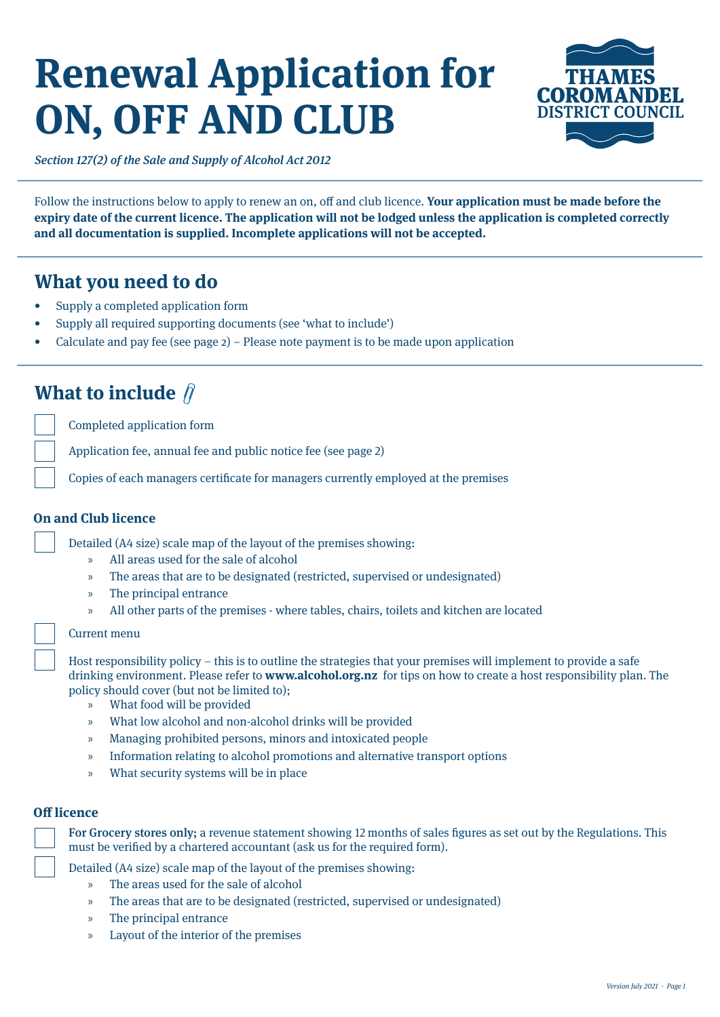# **Renewal Application for ON, OFF AND CLUB**



Section 127(2) of the Sale and Supply of Alcohol Act 2012

Follow the instructions below to apply to renew an on, off and club licence. **Your application must be made before the expiry date of the current licence. The application will not be lodged unless the application is completed correctly and all documentation is supplied. Incomplete applications will not be accepted.** 

## **What you need to do**

- Supply a completed application form
- Supply all required supporting documents (see 'what to include')
- Calculate and pay fee (see page  $2$ ) Please note payment is to be made upon application

## **What to include**  $\hat{\beta}$

Completed application form

Application fee, annual fee and public notice fee (see page 2)

Copies of each managers certificate for managers currently employed at the premises

### **On and Club licence**

Detailed (A4 size) scale map of the layout of the premises showing:

- » All areas used for the sale of alcohol
- » The areas that are to be designated (restricted, supervised or undesignated)
- » The principal entrance
- » All other parts of the premises where tables, chairs, toilets and kitchen are located

#### Current menu

Host responsibility policy – this is to outline the strategies that your premises will implement to provide a safe drinking environment. Please refer to **www.alcohol.org.nz** for tips on how to create a host responsibility plan. The policy should cover (but not be limited to);

- » What food will be provided
- » What low alcohol and non-alcohol drinks will be provided
- » Managing prohibited persons, minors and intoxicated people
- » Information relating to alcohol promotions and alternative transport options
- » What security systems will be in place

### **Off licence**

For Grocery stores only; a revenue statement showing 12 months of sales figures as set out by the Regulations. This must be verified by a chartered accountant (ask us for the required form).

Detailed (A4 size) scale map of the layout of the premises showing:

- » The areas used for the sale of alcohol
- » The areas that are to be designated (restricted, supervised or undesignated)
- » The principal entrance
- » Layout of the interior of the premises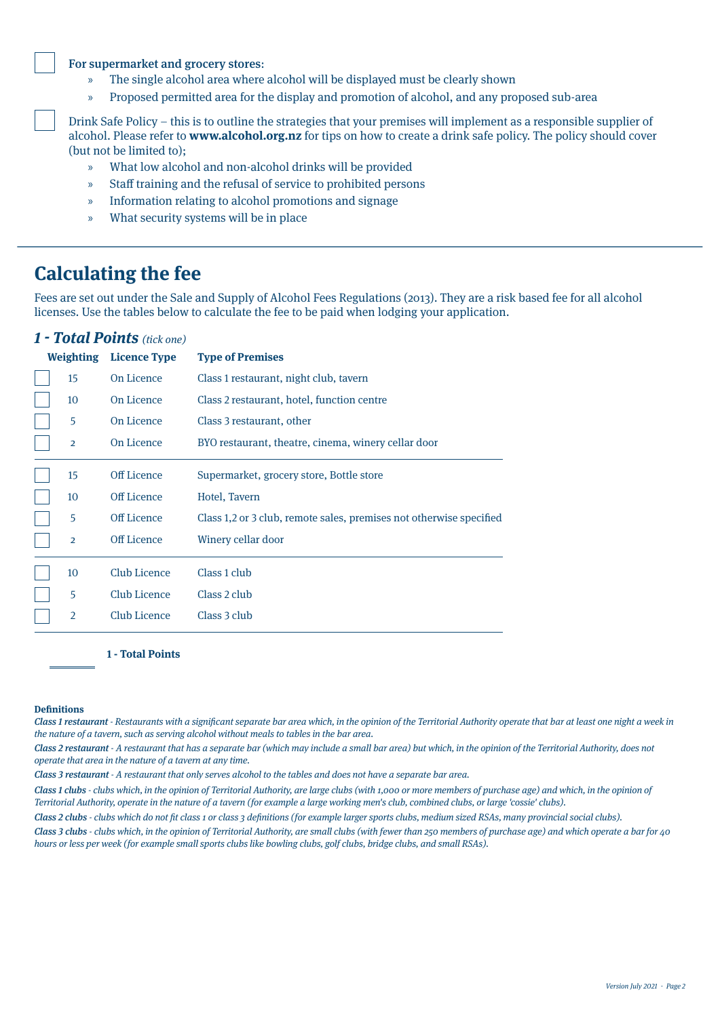### For supermarket and grocery stores:

- » The single alcohol area where alcohol will be displayed must be clearly shown
- » Proposed permitted area for the display and promotion of alcohol, and any proposed sub-area

Drink Safe Policy – this is to outline the strategies that your premises will implement as a responsible supplier of alcohol. Please refer to **www.alcohol.org.nz** for tips on how to create a drink safe policy. The policy should cover (but not be limited to);

- » What low alcohol and non-alcohol drinks will be provided
- » Staff training and the refusal of service to prohibited persons
- » Information relating to alcohol promotions and signage
- » What security systems will be in place

## **Calculating the fee**

Fees are set out under the Sale and Supply of Alcohol Fees Regulations (2013). They are a risk based fee for all alcohol licenses. Use the tables below to calculate the fee to be paid when lodging your application.

## **1 - Total Points** (tick one)

| <b>Weighting</b> | <b>Licence Type</b> | <b>Type of Premises</b>                                             |
|------------------|---------------------|---------------------------------------------------------------------|
| 15               | On Licence          | Class 1 restaurant, night club, tavern                              |
| 10               | On Licence          | Class 2 restaurant, hotel, function centre                          |
| 5                | On Licence          | Class 3 restaurant, other                                           |
| $\overline{2}$   | On Licence          | BYO restaurant, theatre, cinema, winery cellar door                 |
| 15               | Off Licence         | Supermarket, grocery store, Bottle store                            |
| 10               | Off Licence         | Hotel, Tavern                                                       |
| 5                | Off Licence         | Class 1,2 or 3 club, remote sales, premises not otherwise specified |
| $\overline{2}$   | <b>Off Licence</b>  | Winery cellar door                                                  |
| 10               | <b>Club Licence</b> | Class 1 club                                                        |
| 5                | Club Licence        | Class 2 club                                                        |
| $\overline{2}$   | Club Licence        | Class 3 club                                                        |

**1 - Total Points**

#### **Definitions**

Class 1 restaurant - Restaurants with a significant separate bar area which, in the opinion of the Territorial Authority operate that bar at least one night a week in the nature of a tavern, such as serving alcohol without meals to tables in the bar area.

Class 2 restaurant - A restaurant that has a separate bar (which may include a small bar area) but which, in the opinion of the Territorial Authority, does not operate that area in the nature of a tavern at any time.

Class 3 restaurant - A restaurant that only serves alcohol to the tables and does not have a separate bar area.

Class 1 clubs - clubs which, in the opinion of Territorial Authority, are large clubs (with 1,000 or more members of purchase age) and which, in the opinion of Territorial Authority, operate in the nature of a tavern (for example a large working men's club, combined clubs, or large 'cossie' clubs).

Class 2 clubs - clubs which do not fit class 1 or class 3 definitions (for example larger sports clubs, medium sized RSAs, many provincial social clubs).

Class 3 clubs - clubs which, in the opinion of Territorial Authority, are small clubs (with fewer than 250 members of purchase age) and which operate a bar for 40 hours or less per week (for example small sports clubs like bowling clubs, golf clubs, bridge clubs, and small RSAs).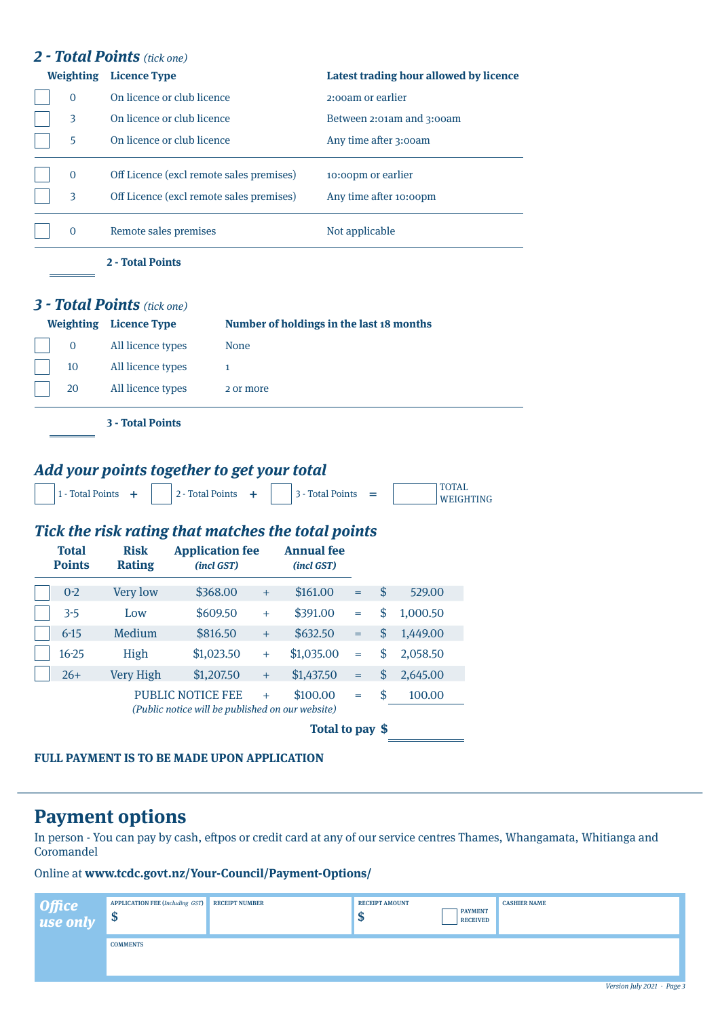|                               | <b>Weighting</b> Licence Type                      |                                                                              |                                  |                                          |                                   |     | Latest trading hour allowed by licence |                  |
|-------------------------------|----------------------------------------------------|------------------------------------------------------------------------------|----------------------------------|------------------------------------------|-----------------------------------|-----|----------------------------------------|------------------|
| $\mathbf{0}$                  | On licence or club licence                         |                                                                              |                                  |                                          | 2:00am or earlier                 |     |                                        |                  |
| 3                             | On licence or club licence                         |                                                                              |                                  |                                          |                                   |     | Between 2:01am and 3:00am              |                  |
| 5                             | On licence or club licence                         |                                                                              |                                  |                                          |                                   |     | Any time after 3:00am                  |                  |
| $\mathbf{0}$                  | Off Licence (excl remote sales premises)           |                                                                              |                                  |                                          | 10:00pm or earlier                |     |                                        |                  |
| 3                             | Off Licence (excl remote sales premises)           |                                                                              |                                  |                                          |                                   |     | Any time after 10:00pm                 |                  |
| $\overline{0}$                | Remote sales premises                              |                                                                              |                                  |                                          | Not applicable                    |     |                                        |                  |
|                               | 2 - Total Points                                   |                                                                              |                                  |                                          |                                   |     |                                        |                  |
|                               | <b>3 - Total Points</b> (tick one)                 |                                                                              |                                  |                                          |                                   |     |                                        |                  |
|                               | <b>Weighting</b> Licence Type                      |                                                                              |                                  | Number of holdings in the last 18 months |                                   |     |                                        |                  |
| $\mathbf{0}$                  | All licence types                                  |                                                                              | <b>None</b>                      |                                          |                                   |     |                                        |                  |
| 10                            | All licence types                                  | $\mathbf{1}$                                                                 |                                  |                                          |                                   |     |                                        |                  |
|                               |                                                    |                                                                              |                                  |                                          |                                   |     |                                        |                  |
| 20                            | All licence types                                  |                                                                              | 2 or more                        |                                          |                                   |     |                                        |                  |
|                               | <b>3 - Total Points</b>                            |                                                                              |                                  |                                          |                                   |     |                                        |                  |
|                               | Add your points together to get your total         |                                                                              |                                  |                                          |                                   |     |                                        |                  |
| 1 - Total Points +            |                                                    | 2 - Total Points                                                             | ÷                                | 3 - Total Points                         |                                   | $=$ | <b>TOTAL</b>                           | <b>WEIGHTING</b> |
|                               |                                                    |                                                                              |                                  |                                          |                                   |     |                                        |                  |
|                               | Tick the risk rating that matches the total points |                                                                              |                                  |                                          |                                   |     |                                        |                  |
| <b>Total</b><br><b>Points</b> | <b>Risk</b><br><b>Rating</b>                       | <b>Application fee</b><br>(incl GST)                                         |                                  | <b>Annual fee</b><br>(incl GST)          |                                   |     |                                        |                  |
| $0-2$                         | Very low                                           | \$368.00                                                                     | $^+$                             | \$161.00                                 | $=$                               | \$  | 529.00                                 |                  |
| $3 - 5$                       | Low                                                | \$609.50                                                                     | $\ddot{}$                        | \$391.00                                 | $=$                               | \$  | 1,000.50                               |                  |
| $6-15$                        | Medium                                             | \$816.50                                                                     | $\qquad \qquad +$                | \$632.50                                 | $\hspace{1.6cm} = \hspace{1.6cm}$ | \$  | 1,449.00                               |                  |
| $16 - 25$                     | High                                               | \$1,023.50                                                                   | $+$                              | \$1,035.00                               | $\quad =$                         | \$  | 2,058.50                               |                  |
| $26+$                         | <b>Very High</b>                                   | \$1,207.50                                                                   | $\begin{array}{c} + \end{array}$ | \$1,437.50                               | $=$                               | \$  | 2,645.00                               |                  |
|                               |                                                    | <b>PUBLIC NOTICE FEE</b><br>(Public notice will be published on our website) | $+$                              | \$100.00                                 | $=$                               | \$  | 100.00                                 |                  |

**FULL PAYMENT IS TO BE MADE UPON APPLICATION**

## **Payment options**

In person - You can pay by cash, eftpos or credit card at any of our service centres Thames, Whangamata, Whitianga and Coromandel

## Online at **www.tcdc.govt.nz/Your-Council/Payment-Options/**

| Office<br>  use only | <b>APPLICATION FEE (Including GST)</b><br>œ<br>ъ | <b>RECEIPT NUMBER</b> | <b>RECEIPT AMOUNT</b><br>w | <b>PAYMENT</b><br><b>RECEIVED</b> | <b>CASHIER NAME</b> |                                                                                                                       |  |
|----------------------|--------------------------------------------------|-----------------------|----------------------------|-----------------------------------|---------------------|-----------------------------------------------------------------------------------------------------------------------|--|
|                      | <b>COMMENTS</b>                                  |                       |                            |                                   |                     |                                                                                                                       |  |
|                      |                                                  |                       |                            |                                   |                     | $\mathbf{r}$ , $\mathbf{r}$ , $\mathbf{r}$ , $\mathbf{r}$ , $\mathbf{r}$ , $\mathbf{r}$ , $\mathbf{r}$ , $\mathbf{r}$ |  |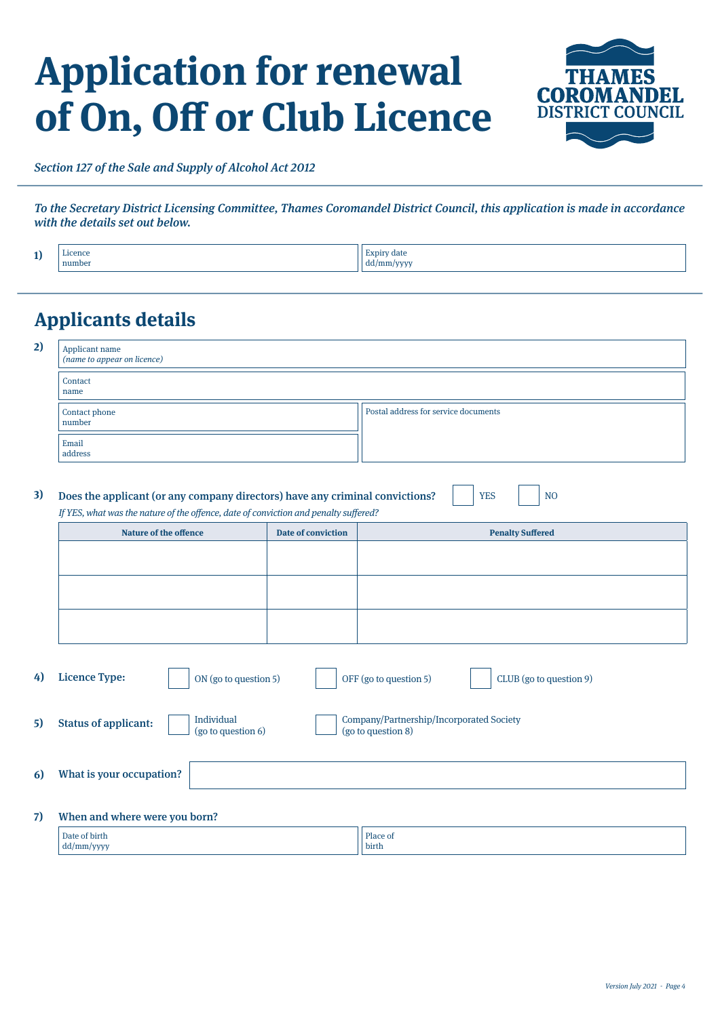# **Application for renewal of On, Off or Club Licence**



Section 127 of the Sale and Supply of Alcohol Act 2012

To the Secretary District Licensing Committee, Thames Coromandel District Council, this application is made in accordance with the details set out below.

| æ<br>- | $-$<br>mimber | 111111 |
|--------|---------------|--------|
|--------|---------------|--------|

## **Applicants details**

| Applicant name<br>( <i>name to appear on licence</i> ) |                                      |  |  |  |  |
|--------------------------------------------------------|--------------------------------------|--|--|--|--|
| Contact<br>name                                        |                                      |  |  |  |  |
| Contact phone<br>number                                | Postal address for service documents |  |  |  |  |
| Email<br>address                                       |                                      |  |  |  |  |

| 3) Does the applicant (or any company directors) have any criminal convictions?      | YES | $\overline{\phantom{a}}$ NO |  |  |
|--------------------------------------------------------------------------------------|-----|-----------------------------|--|--|
| If YES, what was the nature of the offence, date of conviction and penalty suffered? |     |                             |  |  |

| <b>Nature of the offence</b> | Date of conviction | <b>Penalty Suffered</b> |
|------------------------------|--------------------|-------------------------|
|                              |                    |                         |
|                              |                    |                         |
|                              |                    |                         |
|                              |                    |                         |
|                              |                    |                         |
|                              |                    |                         |

| 4)       | <b>Licence Type:</b><br>ON (go to question 5)                   | OFF (go to question 5)<br>CLUB (go to question 9)              |
|----------|-----------------------------------------------------------------|----------------------------------------------------------------|
| 5)       | Individual<br><b>Status of applicant:</b><br>(go to question 6) | Company/Partnership/Incorporated Society<br>(go to question 8) |
| <b>6</b> | What is your occupation?                                        |                                                                |
| 7)       | When and where were you born?                                   |                                                                |
|          | Date of birth<br>$dd/mm/$ yyyy                                  | Place of<br>birth                                              |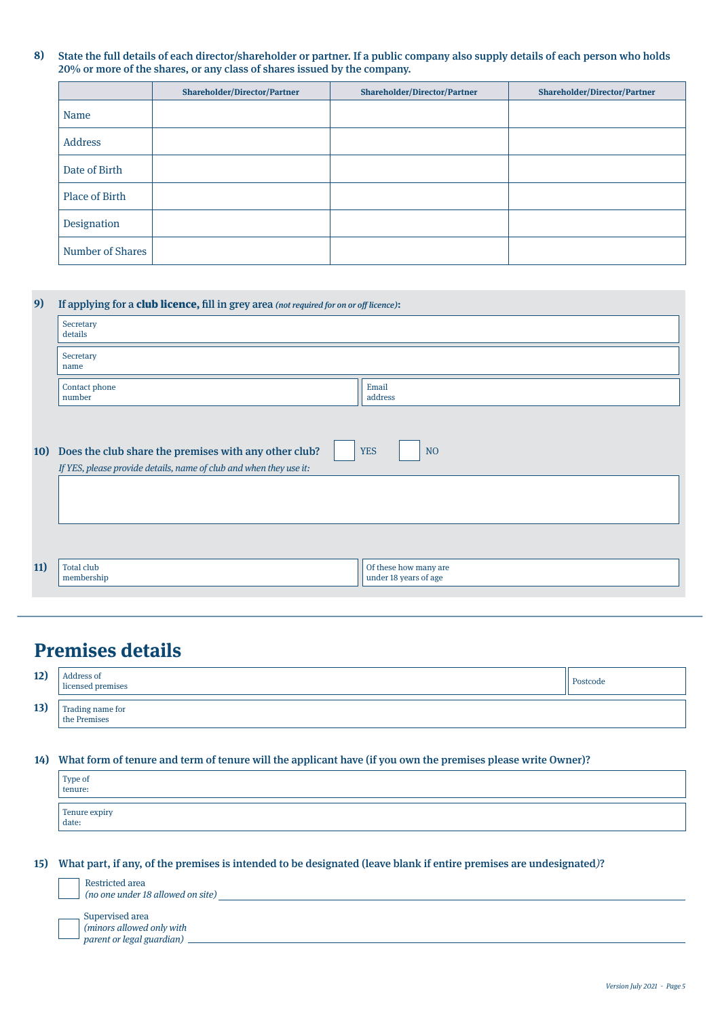**8)** State the full details of each director/shareholder or partner. If a public company also supply details of each person who holds 20% or more of the shares, or any class of shares issued by the company.

|                  | <b>Shareholder/Director/Partner</b> | <b>Shareholder/Director/Partner</b> | <b>Shareholder/Director/Partner</b> |
|------------------|-------------------------------------|-------------------------------------|-------------------------------------|
| Name             |                                     |                                     |                                     |
| Address          |                                     |                                     |                                     |
| Date of Birth    |                                     |                                     |                                     |
| Place of Birth   |                                     |                                     |                                     |
| Designation      |                                     |                                     |                                     |
| Number of Shares |                                     |                                     |                                     |

| 9)  | If applying for a club licence, fill in grey area (not required for on or off licence): |                                                |  |  |  |  |  |
|-----|-----------------------------------------------------------------------------------------|------------------------------------------------|--|--|--|--|--|
|     | Secretary<br>details                                                                    |                                                |  |  |  |  |  |
|     | Secretary<br>name                                                                       |                                                |  |  |  |  |  |
|     | Contact phone<br>number                                                                 | Email<br>address                               |  |  |  |  |  |
|     |                                                                                         |                                                |  |  |  |  |  |
| 10) | Does the club share the premises with any other club?                                   | <b>YES</b><br>N <sub>O</sub>                   |  |  |  |  |  |
|     | If YES, please provide details, name of club and when they use it:                      |                                                |  |  |  |  |  |
|     |                                                                                         |                                                |  |  |  |  |  |
|     |                                                                                         |                                                |  |  |  |  |  |
|     |                                                                                         |                                                |  |  |  |  |  |
|     |                                                                                         |                                                |  |  |  |  |  |
| 11) | <b>Total club</b><br>membership                                                         | Of these how many are<br>under 18 years of age |  |  |  |  |  |
|     |                                                                                         |                                                |  |  |  |  |  |

## **Premises details**

| 12) | Address of<br>licensed premises    | Postcode |
|-----|------------------------------------|----------|
| 13) | Trading name for<br>  the Premises |          |

What form of tenure and term of tenure will the applicant have (if you own the premises please write Owner)? **14)**

| Type of<br>tenure:     |  |
|------------------------|--|
| Tenure expiry<br>date: |  |

What part, if any, of the premises is intended to be designated (leave blank if entire premises are undesignated)? **15)**

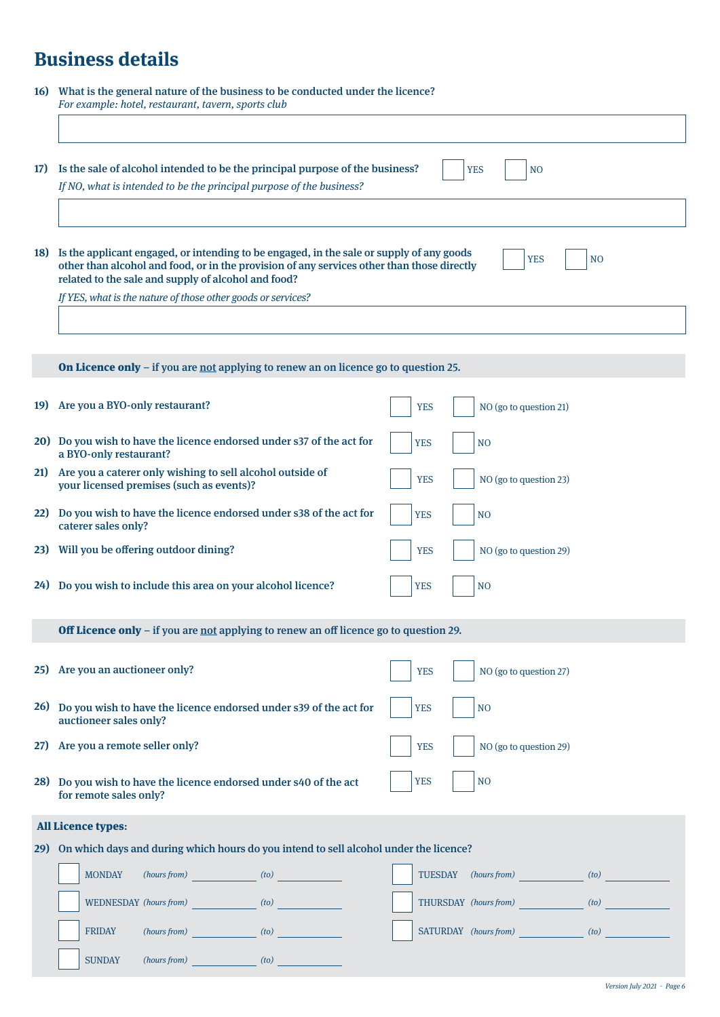## **Business details**

| 16) What is the general nature of the business to be conducted under the licence? |
|-----------------------------------------------------------------------------------|
| For example: hotel, restaurant, tavern, sports club                               |
|                                                                                   |

| <b>17)</b> | Is the sale of alcohol intended to be the principal purpose of the business?<br>If NO, what is intended to be the principal purpose of the business?                                                                                                                                                              | <b>YES</b><br>N <sub>O</sub>         |
|------------|-------------------------------------------------------------------------------------------------------------------------------------------------------------------------------------------------------------------------------------------------------------------------------------------------------------------|--------------------------------------|
|            | 18) Is the applicant engaged, or intending to be engaged, in the sale or supply of any goods<br>other than alcohol and food, or in the provision of any services other than those directly<br>related to the sale and supply of alcohol and food?<br>If YES, what is the nature of those other goods or services? | <b>YES</b><br>N <sub>O</sub>         |
|            | <b>On Licence only</b> - if you are not applying to renew an on licence go to question 25.                                                                                                                                                                                                                        |                                      |
| 19)        | Are you a BYO-only restaurant?                                                                                                                                                                                                                                                                                    | <b>YES</b><br>NO (go to question 21) |
|            | 20) Do you wish to have the licence endorsed under s37 of the act for<br>a BYO-only restaurant?                                                                                                                                                                                                                   | <b>YES</b><br>N <sub>O</sub>         |
| <b>21</b>  | Are you a caterer only wishing to sell alcohol outside of<br>your licensed premises (such as events)?                                                                                                                                                                                                             | <b>YES</b><br>NO (go to question 23) |
|            | 22) Do you wish to have the licence endorsed under s38 of the act for<br>caterer sales only?                                                                                                                                                                                                                      | <b>YES</b><br>N <sub>O</sub>         |
| 23)        | Will you be offering outdoor dining?                                                                                                                                                                                                                                                                              | <b>YES</b><br>NO (go to question 29) |
| 24)        | Do you wish to include this area on your alcohol licence?                                                                                                                                                                                                                                                         | <b>YES</b><br>N <sub>O</sub>         |
|            | <b>Off Licence only</b> – if you are not applying to renew an off licence go to question 29.                                                                                                                                                                                                                      |                                      |
|            | 25) Are you an auctioneer only?                                                                                                                                                                                                                                                                                   | NO (go to question 27)<br><b>YES</b> |
|            | 26) Do you wish to have the licence endorsed under s39 of the act for<br>auctioneer sales only?                                                                                                                                                                                                                   | <b>YES</b><br>N <sub>O</sub>         |
| 27)        | Are you a remote seller only?                                                                                                                                                                                                                                                                                     | <b>YES</b><br>NO (go to question 29) |
|            | 28) Do you wish to have the licence endorsed under s40 of the act<br>for remote sales only?                                                                                                                                                                                                                       | <b>YES</b><br>N <sub>O</sub>         |
|            | All Licence types:                                                                                                                                                                                                                                                                                                |                                      |
|            | 29) On which days and during which hours do you intend to sell alcohol under the licence?                                                                                                                                                                                                                         |                                      |
|            | <b>MONDAY</b><br>$(hours from)$ $(to)$                                                                                                                                                                                                                                                                            | TUESDAY (hours from) (to)            |
|            | WEDNESDAY (hours from) (to)                                                                                                                                                                                                                                                                                       | THURSDAY (hours from) (to)           |
|            | $(hours from)$ $(to)$<br><b>FRIDAY</b>                                                                                                                                                                                                                                                                            | SATURDAY (hours from) (to)           |
|            | <b>SUNDAY</b><br>$(hours from)$ $(to)$                                                                                                                                                                                                                                                                            |                                      |

 $\overline{\phantom{a}}$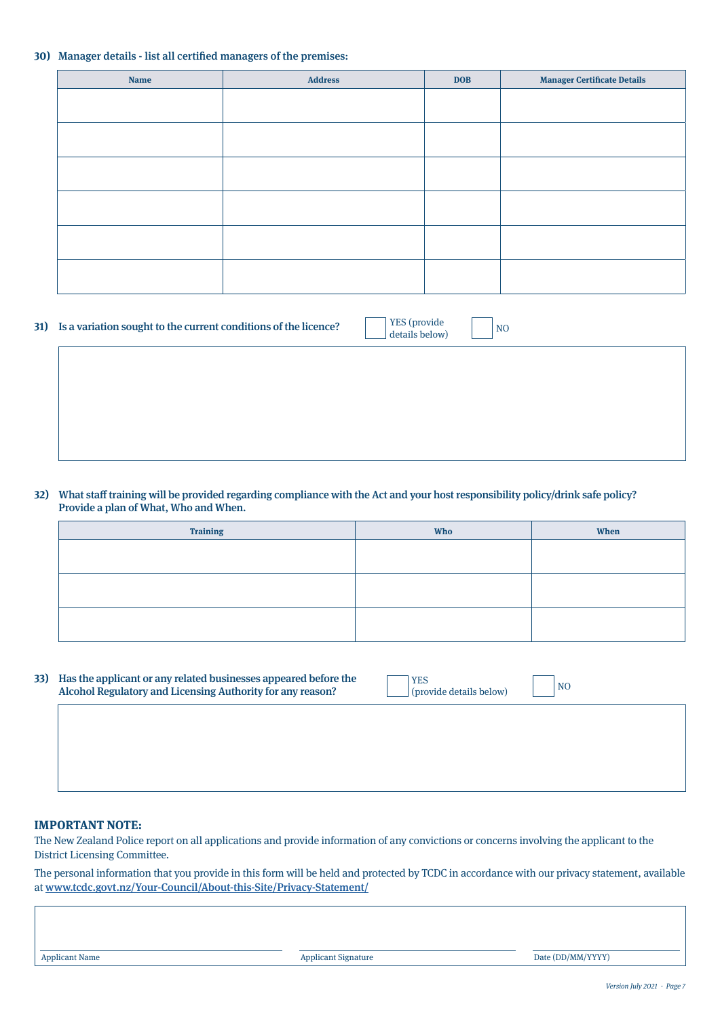#### **30)** Manager details - list all certified managers of the premises:

| <b>Name</b> | <b>Address</b> | <b>DOB</b> | <b>Manager Certificate Details</b> |
|-------------|----------------|------------|------------------------------------|
|             |                |            |                                    |
|             |                |            |                                    |
|             |                |            |                                    |
|             |                |            |                                    |
|             |                |            |                                    |
|             |                |            |                                    |
|             |                |            |                                    |
|             |                |            |                                    |
|             |                |            |                                    |
|             |                |            |                                    |
|             |                |            |                                    |
|             |                |            |                                    |

| 31) Is a variation sought to the current conditions of the licence? |                                            | <b>YES</b> (provide |
|---------------------------------------------------------------------|--------------------------------------------|---------------------|
|                                                                     | $\mathbf{1}$ , $\mathbf{1}$ , $\mathbf{1}$ |                     |

| YES (provide   | NO |
|----------------|----|
| details below) |    |

#### **32)** What staff training will be provided regarding compliance with the Act and your host responsibility policy/drink safe policy? Provide a plan of What, Who and When.

| <b>Training</b> | <b>Who</b> | When |
|-----------------|------------|------|
|                 |            |      |
|                 |            |      |
|                 |            |      |
|                 |            |      |
|                 |            |      |
|                 |            |      |

**33)** Has the applicant or any related businesses appeared before the Alcohol Regulatory and Licensing Authority for any reason?

| <b>I</b> YES            | N <sub>O</sub> |
|-------------------------|----------------|
| (provide details below) |                |

### **IMPORTANT NOTE:**

The New Zealand Police report on all applications and provide information of any convictions or concerns involving the applicant to the District Licensing Committee.

The personal information that you provide in this form will be held and protected by TCDC in accordance with our privacy statement, available at www.tcdc.govt.nz/Your-Council/About-this-Site/Privacy-Statement/

Applicant Name **Applicant Name** Applicant Signature **Date (DD/MM/YYYY) Date (DD/MM/YYYY)**